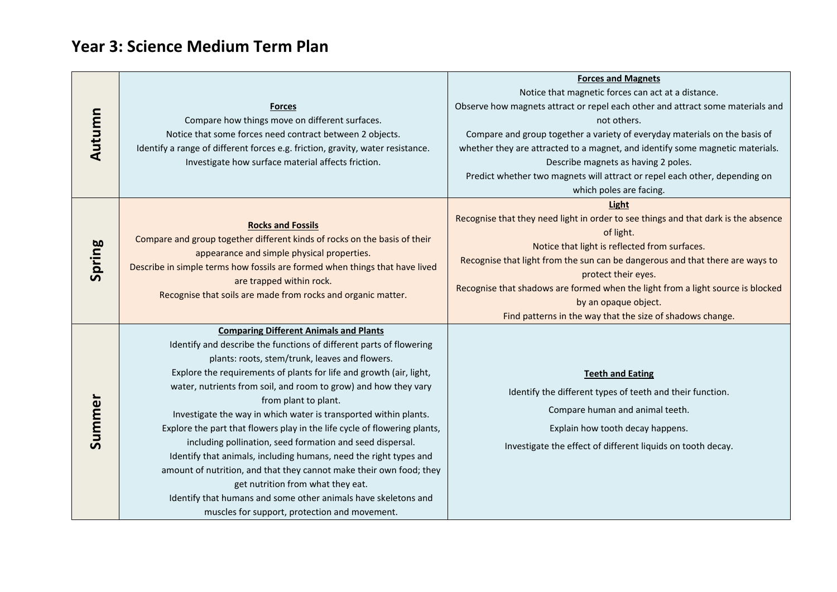## **Year 3: Science Medium Term Plan**

|        |                                                                                | <b>Forces and Magnets</b>                                                          |
|--------|--------------------------------------------------------------------------------|------------------------------------------------------------------------------------|
|        |                                                                                | Notice that magnetic forces can act at a distance.                                 |
|        | <b>Forces</b>                                                                  | Observe how magnets attract or repel each other and attract some materials and     |
|        | Compare how things move on different surfaces.                                 | not others.                                                                        |
| Autumn | Notice that some forces need contract between 2 objects.                       | Compare and group together a variety of everyday materials on the basis of         |
|        | Identify a range of different forces e.g. friction, gravity, water resistance. | whether they are attracted to a magnet, and identify some magnetic materials.      |
|        | Investigate how surface material affects friction.                             | Describe magnets as having 2 poles.                                                |
|        |                                                                                | Predict whether two magnets will attract or repel each other, depending on         |
|        |                                                                                | which poles are facing.                                                            |
|        |                                                                                | <b>Light</b>                                                                       |
|        | <b>Rocks and Fossils</b>                                                       | Recognise that they need light in order to see things and that dark is the absence |
|        | Compare and group together different kinds of rocks on the basis of their      | of light.                                                                          |
|        | appearance and simple physical properties.                                     | Notice that light is reflected from surfaces.                                      |
| Spring | Describe in simple terms how fossils are formed when things that have lived    | Recognise that light from the sun can be dangerous and that there are ways to      |
|        | are trapped within rock.                                                       | protect their eyes.                                                                |
|        | Recognise that soils are made from rocks and organic matter.                   | Recognise that shadows are formed when the light from a light source is blocked    |
|        |                                                                                | by an opaque object.                                                               |
|        |                                                                                | Find patterns in the way that the size of shadows change.                          |
| Summer | <b>Comparing Different Animals and Plants</b>                                  |                                                                                    |
|        | Identify and describe the functions of different parts of flowering            |                                                                                    |
|        | plants: roots, stem/trunk, leaves and flowers.                                 |                                                                                    |
|        | Explore the requirements of plants for life and growth (air, light,            | <b>Teeth and Eating</b>                                                            |
|        | water, nutrients from soil, and room to grow) and how they vary                | Identify the different types of teeth and their function.                          |
|        | from plant to plant.                                                           | Compare human and animal teeth.                                                    |
|        | Investigate the way in which water is transported within plants.               |                                                                                    |
|        | Explore the part that flowers play in the life cycle of flowering plants,      | Explain how tooth decay happens.                                                   |
|        | including pollination, seed formation and seed dispersal.                      | Investigate the effect of different liquids on tooth decay.                        |
|        | Identify that animals, including humans, need the right types and              |                                                                                    |
|        | amount of nutrition, and that they cannot make their own food; they            |                                                                                    |
|        | get nutrition from what they eat.                                              |                                                                                    |
|        | Identify that humans and some other animals have skeletons and                 |                                                                                    |
|        | muscles for support, protection and movement.                                  |                                                                                    |